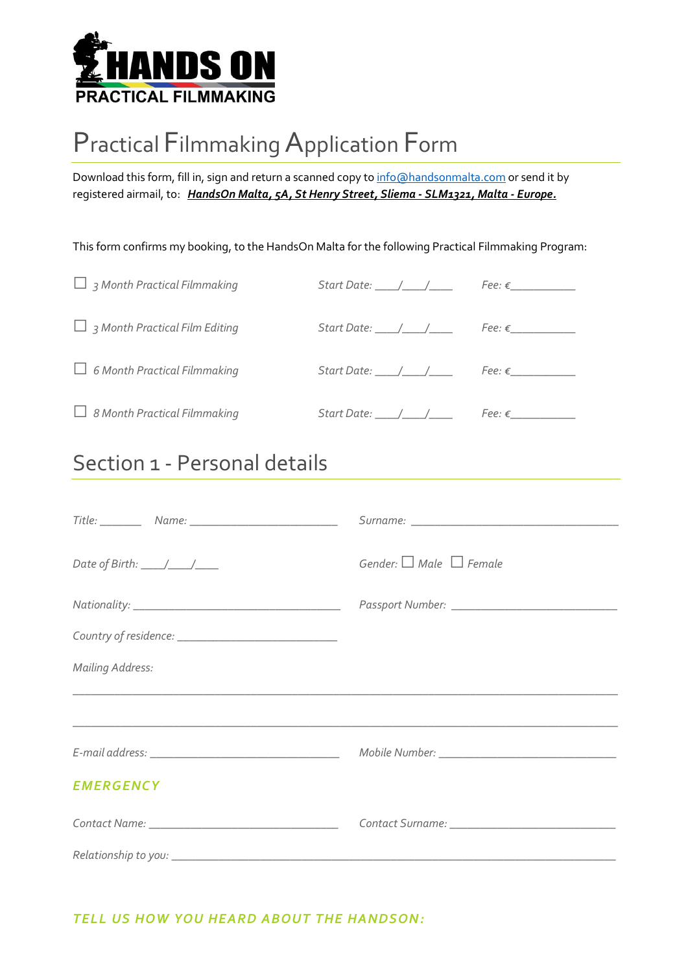

# Practical Filmmaking Application Form

Download this form, fill in, sign and return a scanned copy to info@handsonmalta.com or send it by registered airmail, to: HandsOn Malta, 5A, St Henry Street, Sliema - SLM1321, Malta - Europe.

This form confirms my booking, to the HandsOn Malta for the following Practical Filmmaking Program:

| $\Box$ 3 Month Practical Filmmaking   | Start Date: $\_\_\_\_\_\_\_\_\_\_\_\_\_\_\_\_\_\_\_$ |  |
|---------------------------------------|------------------------------------------------------|--|
| $\Box$ 3 Month Practical Film Editing | $Start Date:$ / / Fee: $\epsilon$                    |  |
| $\Box$ 6 Month Practical Filmmaking   |                                                      |  |
| $\Box$ 8 Month Practical Filmmaking   |                                                      |  |

## Section 1 - Personal details

|                         | Gender: $\Box$ Male $\Box$ Female                 |
|-------------------------|---------------------------------------------------|
|                         |                                                   |
|                         |                                                   |
| <b>Mailing Address:</b> |                                                   |
|                         |                                                   |
|                         |                                                   |
| <b>EMERGENCY</b>        |                                                   |
|                         | Contact Surname: ________________________________ |
|                         |                                                   |

### TELL US HOW YOU HEARD ABOUT THE HANDSON: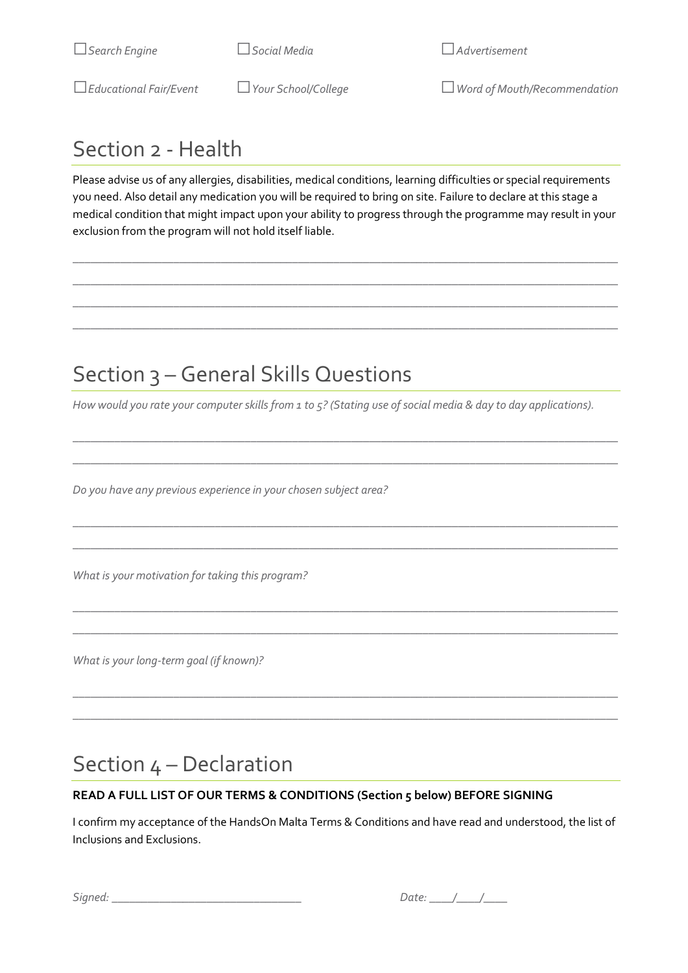□Educational Fair/Event □Your School/College □Word of Mouth/Recommendation

## Section 2 - Health

Please advise us of any allergies, disabilities, medical conditions, learning difficulties or special requirements you need. Also detail any medication you will be required to bring on site. Failure to declare at this stage a medical condition that might impact upon your ability to progress through the programme may result in your exclusion from the program will not hold itself liable.

 $\_$  ,  $\_$  ,  $\_$  ,  $\_$  ,  $\_$  ,  $\_$  ,  $\_$  ,  $\_$  ,  $\_$  ,  $\_$  ,  $\_$  ,  $\_$  ,  $\_$  ,  $\_$  ,  $\_$  ,  $\_$  ,  $\_$  ,  $\_$  ,  $\_$  ,  $\_$  ,  $\_$  ,  $\_$  ,  $\_$  ,  $\_$  ,  $\_$  ,  $\_$  ,  $\_$  ,  $\_$  ,  $\_$  ,  $\_$  ,  $\_$  ,  $\_$  ,  $\_$  ,  $\_$  ,  $\_$  ,  $\_$  ,  $\_$  ,  $\_$  ,  $\_$  ,  $\_$  ,  $\_$  ,  $\_$  ,  $\_$  ,  $\_$  ,  $\_$  ,  $\_$  ,  $\_$  ,  $\_$  ,  $\_$  ,  $\_$  ,  $\_$  ,  $\_$  ,  $\_$  ,  $\_$  ,  $\_$  ,  $\_$  ,  $\_$  ,  $\_$  ,  $\_$  ,  $\_$  ,  $\_$  ,  $\_$  ,  $\_$  ,  $\_$  ,  $\_$  ,  $\_$  ,  $\_$  ,  $\_$  ,  $\_$  ,  $\_$  ,  $\_$  ,  $\_$  ,  $\_$  ,  $\_$  ,  $\_$  ,  $\_$  ,  $\_$  ,  $\_$  ,  $\_$  ,  $\_$  ,  $\_$  ,  $\_$  ,  $\_$  ,  $\_$  ,  $\_$  ,  $\_$  ,  $\_$  ,  $\_$  ,  $\_$  ,  $\_$  ,  $\_$  ,  $\_$  ,  $\_$  ,  $\_$  ,  $\_$  ,  $\_$  ,  $\_$  ,  $\_$  ,  $\_$  ,  $\_$  ,  $\_$  ,  $\_$  ,  $\_$  ,  $\_$  ,  $\_$  ,  $\_$  ,  $\_$  ,  $\_$  ,  $\_$  ,  $\_$  ,  $\_$  ,  $\_$  ,  $\_$  ,  $\_$  ,  $\_$  ,  $\_$  ,  $\_$  ,  $\_$  ,  $\_$  ,  $\_$  ,  $\_$  ,  $\_$  ,  $\_$  ,  $\_$  ,  $\_$  ,  $\_$  ,  $\_$  ,  $\_$  ,  $\_$  ,  $\_$  ,  $\_$  ,  $\_$  ,  $\_$  ,  $\_$  ,  $\_$  ,  $\_$  ,  $\_$  ,  $\_$  ,  $\_$  ,  $\_$  ,  $\_$  ,  $\_$  ,  $\_$  ,  $\_$  ,  $\_$  ,  $\_$  ,  $\_$  ,  $\_$  ,

## Section 3 – General Skills Questions

How would you rate your computer skills from 1 to 5? (Stating use of social media & day to day applications).

 $\_$  ,  $\_$  ,  $\_$  ,  $\_$  ,  $\_$  ,  $\_$  ,  $\_$  ,  $\_$  ,  $\_$  ,  $\_$  ,  $\_$  ,  $\_$  ,  $\_$  ,  $\_$  ,  $\_$  ,  $\_$  ,  $\_$  ,  $\_$  ,  $\_$  ,  $\_$  ,  $\_$  ,  $\_$  ,  $\_$  ,  $\_$  ,  $\_$  ,  $\_$  ,  $\_$  ,  $\_$  ,  $\_$  ,  $\_$  ,  $\_$  ,  $\_$  ,  $\_$  ,  $\_$  ,  $\_$  ,  $\_$  ,  $\_$  ,  $\_$  ,  $\_$  ,  $\_$  ,  $\_$  ,  $\_$  ,  $\_$  ,  $\_$  ,  $\_$  ,  $\_$  ,  $\_$  ,  $\_$  ,  $\_$  ,  $\_$  ,  $\_$  ,  $\_$  ,  $\_$  ,  $\_$  ,  $\_$  ,  $\_$  ,  $\_$  ,  $\_$  ,  $\_$  ,  $\_$  ,  $\_$  ,  $\_$  ,  $\_$  ,  $\_$  ,  $\_$  ,  $\_$  ,  $\_$  ,  $\_$  ,  $\_$  ,  $\_$  ,  $\_$  ,  $\_$  ,  $\_$  ,  $\_$  ,

 $\_$  ,  $\_$  ,  $\_$  ,  $\_$  ,  $\_$  ,  $\_$  ,  $\_$  ,  $\_$  ,  $\_$  ,  $\_$  ,  $\_$  ,  $\_$  ,  $\_$  ,  $\_$  ,  $\_$  ,  $\_$  ,  $\_$  ,  $\_$  ,  $\_$  ,  $\_$  ,  $\_$  ,  $\_$  ,  $\_$  ,  $\_$  ,  $\_$  ,  $\_$  ,  $\_$  ,  $\_$  ,  $\_$  ,  $\_$  ,  $\_$  ,  $\_$  ,  $\_$  ,  $\_$  ,  $\_$  ,  $\_$  ,  $\_$  , \_\_\_\_\_\_\_\_\_\_\_\_\_\_\_\_\_\_\_\_\_\_\_\_\_\_\_\_\_\_\_\_\_\_\_\_\_\_\_\_\_\_\_\_\_\_\_\_\_\_\_\_\_\_\_\_\_\_\_\_\_\_\_\_\_\_\_\_\_\_\_\_\_\_\_\_\_\_\_\_\_\_\_\_\_\_\_\_\_\_\_\_

 $\_$  ,  $\_$  ,  $\_$  ,  $\_$  ,  $\_$  ,  $\_$  ,  $\_$  ,  $\_$  ,  $\_$  ,  $\_$  ,  $\_$  ,  $\_$  ,  $\_$  ,  $\_$  ,  $\_$  ,  $\_$  ,  $\_$  ,  $\_$  ,  $\_$  ,  $\_$  ,  $\_$  ,  $\_$  ,  $\_$  ,  $\_$  ,  $\_$  ,  $\_$  ,  $\_$  ,  $\_$  ,  $\_$  ,  $\_$  ,  $\_$  ,  $\_$  ,  $\_$  ,  $\_$  ,  $\_$  ,  $\_$  ,  $\_$  ,  $\_$  ,  $\_$  ,  $\_$  ,  $\_$  ,  $\_$  ,  $\_$  ,  $\_$  ,  $\_$  ,  $\_$  ,  $\_$  ,  $\_$  ,  $\_$  ,  $\_$  ,  $\_$  ,  $\_$  ,  $\_$  ,  $\_$  ,  $\_$  ,  $\_$  ,  $\_$  ,  $\_$  ,  $\_$  ,  $\_$  ,  $\_$  ,  $\_$  ,  $\_$  ,  $\_$  ,  $\_$  ,  $\_$  ,  $\_$  ,  $\_$  ,  $\_$  ,  $\_$  ,  $\_$  ,  $\_$  ,  $\_$  ,  $\_$  ,

 $\_$  ,  $\_$  ,  $\_$  ,  $\_$  ,  $\_$  ,  $\_$  ,  $\_$  ,  $\_$  ,  $\_$  ,  $\_$  ,  $\_$  ,  $\_$  ,  $\_$  ,  $\_$  ,  $\_$  ,  $\_$  ,  $\_$  ,  $\_$  ,  $\_$  ,  $\_$  ,  $\_$  ,  $\_$  ,  $\_$  ,  $\_$  ,  $\_$  ,  $\_$  ,  $\_$  ,  $\_$  ,  $\_$  ,  $\_$  ,  $\_$  ,  $\_$  ,  $\_$  ,  $\_$  ,  $\_$  ,  $\_$  ,  $\_$  ,  $\_$  ,  $\_$  ,  $\_$  ,  $\_$  ,  $\_$  ,  $\_$  ,  $\_$  ,  $\_$  ,  $\_$  ,  $\_$  ,  $\_$  ,  $\_$  ,  $\_$  ,  $\_$  ,  $\_$  ,  $\_$  ,  $\_$  ,  $\_$  ,  $\_$  ,  $\_$  ,  $\_$  ,  $\_$  ,  $\_$  ,  $\_$  ,  $\_$  ,  $\_$  ,  $\_$  ,  $\_$  ,  $\_$  ,  $\_$  ,  $\_$  ,  $\_$  ,  $\_$  ,  $\_$  ,  $\_$  ,  $\_$  ,  $\_$  ,

Do you have any previous experience in your chosen subject area?

What is your motivation for taking this program?

What is your long-term goal (if known)?

## Section 4 – Declaration

### READ A FULL LIST OF OUR TERMS & CONDITIONS (Section 5 below) BEFORE SIGNING

I confirm my acceptance of the HandsOn Malta Terms & Conditions and have read and understood, the list of Inclusions and Exclusions.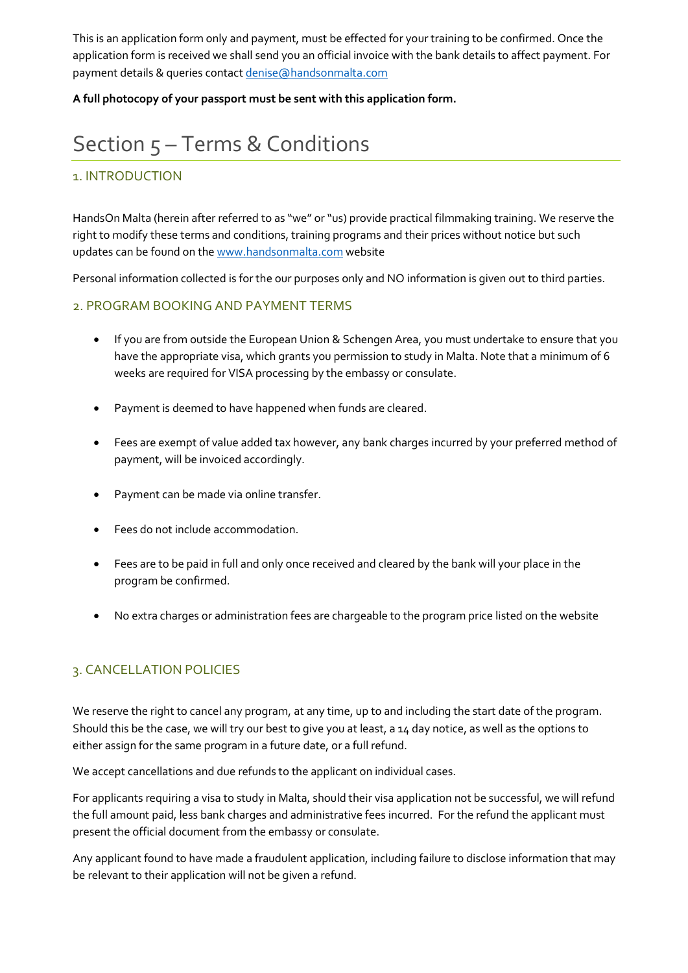This is an application form only and payment, must be effected for your training to be confirmed. Once the application form is received we shall send you an official invoice with the bank details to affect payment. For payment details & queries contact denise@handsonmalta.com

A full photocopy of your passport must be sent with this application form.

## Section 5 – Terms & Conditions

### 1. INTRODUCTION

HandsOn Malta (herein after referred to as "we" or "us) provide practical filmmaking training. We reserve the right to modify these terms and conditions, training programs and their prices without notice but such updates can be found on the www.handsonmalta.com website

Personal information collected is for the our purposes only and NO information is given out to third parties.

### 2. PROGRAM BOOKING AND PAYMENT TERMS

- If you are from outside the European Union & Schengen Area, you must undertake to ensure that you have the appropriate visa, which grants you permission to study in Malta. Note that a minimum of 6 weeks are required for VISA processing by the embassy or consulate.
- Payment is deemed to have happened when funds are cleared.
- Fees are exempt of value added tax however, any bank charges incurred by your preferred method of payment, will be invoiced accordingly.
- Payment can be made via online transfer.
- Fees do not include accommodation.
- Fees are to be paid in full and only once received and cleared by the bank will your place in the program be confirmed.
- No extra charges or administration fees are chargeable to the program price listed on the website

### 3. CANCELLATION POLICIES

We reserve the right to cancel any program, at any time, up to and including the start date of the program. Should this be the case, we will try our best to give you at least, a 14 day notice, as well as the options to either assign for the same program in a future date, or a full refund.

We accept cancellations and due refunds to the applicant on individual cases.

For applicants requiring a visa to study in Malta, should their visa application not be successful, we will refund the full amount paid, less bank charges and administrative fees incurred. For the refund the applicant must present the official document from the embassy or consulate.

Any applicant found to have made a fraudulent application, including failure to disclose information that may be relevant to their application will not be given a refund.